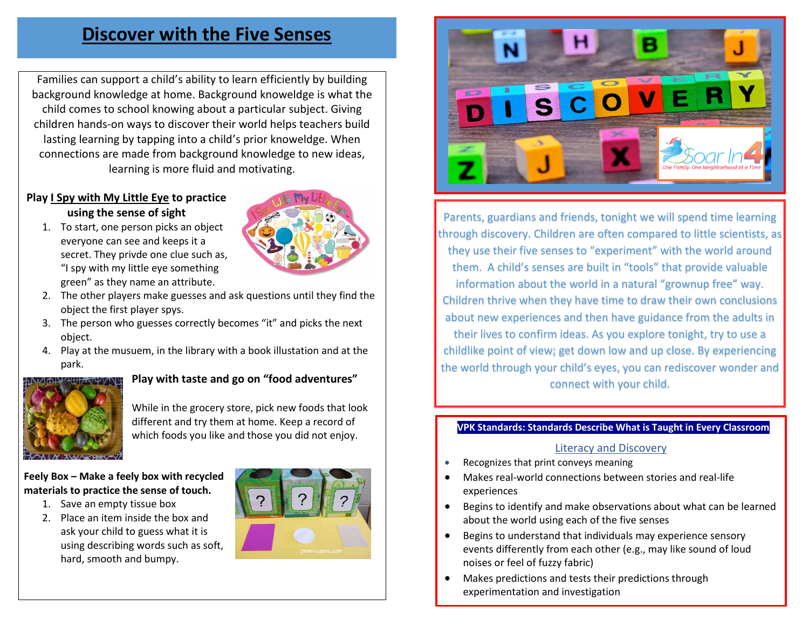### **Discover with the Five Senses**

Families can support a child's ability to learn efficiently by building background knowledge at home. Background knoweldge is what the child comes to school knowing about a particular subject. Giving children hands-on ways to discover their world helps teachers build lasting learning by tapping into a child's prior knoweldge. When connections are made from background knowledge to new ideas, learning is more fluid and motivating.

#### **Play I Spy with My Little Eye to practice using the sense of sight**

1. To start, one person picks an object everyone can see and keeps it a secret. They privde one clue such as, "I spy with my little eye something green" as they name an attribute.



- 2. The other players make guesses and ask questions until they find the object the first player spys.
- 3. The person who guesses correctly becomes "it" and picks the next object.
- 4. Play at the musuem, in the library with a book illustation and at the park.



#### **Play with taste and go on "food adventures"**

While in the grocery store, pick new foods that look different and try them at home. Keep a record of which foods you like and those you did not enjoy.

#### **Feely Box – Make a feely box with recycled materials to practice the sense of touch.**

- 1. Save an empty tissue box
- 2. Place an item inside the box and ask your child to guess what it is using describing words such as soft, hard, smooth and bumpy.





Parents, guardians and friends, tonight we will spend time learning through discovery. Children are often compared to little scientists, as they use their five senses to "experiment" with the world around them. A child's senses are built in "tools" that provide valuable information about the world in a natural "grownup free" way. Children thrive when they have time to draw their own conclusions about new experiences and then have guidance from the adults in their lives to confirm ideas. As you explore tonight, try to use a childlike point of view; get down low and up close. By experiencing the world through your child's eyes, you can rediscover wonder and connect with your child.

#### **VPK Standards: Standards Describe What is Taught in Every Classroom**

#### Literacy and Discovery

- Recognizes that print conveys meaning
- Makes real-world connections between stories and real-life experiences
- Begins to identify and make observations about what can be learned about the world using each of the five senses
- Begins to understand that individuals may experience sensory events differently from each other (e.g., may like sound of loud noises or feel of fuzzy fabric)
- Makes predictions and tests their predictions through experimentation and investigation